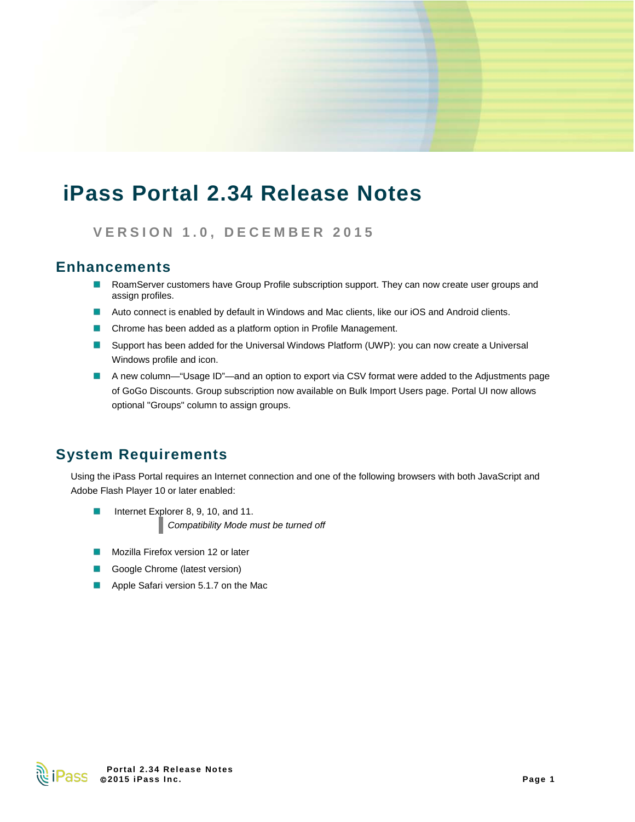# **iPass Portal 2.34 Release Notes**

**VERSION 1. 0 , DECEMBER 2015**

### **Enhancements**

- **A** RoamServer customers have Group Profile subscription support. They can now create user groups and assign profiles.
- **Auto connect is enabled by default in Windows and Mac clients, like our iOS and Android clients.**
- E Chrome has been added as a platform option in Profile Management.
- **Support has been added for the Universal Windows Platform (UWP): you can now create a Universal** Windows profile and icon.
- A new column—"Usage ID"—and an option to export via CSV format were added to the Adjustments page of GoGo Discounts. Group subscription now available on Bulk Import Users page. Portal UI now allows optional "Groups" column to assign groups.

### **System Requirements**

Using the iPass Portal requires an Internet connection and one of the following browsers with both JavaScript and Adobe Flash Player 10 or later enabled:

- Internet Explorer 8, 9, 10, and 11. E *Compatibility Mode must be turned off*
- Mozilla Firefox version 12 or later
- Google Chrome (latest version) þ.
- **Apple Safari version 5.1.7 on the Mac**

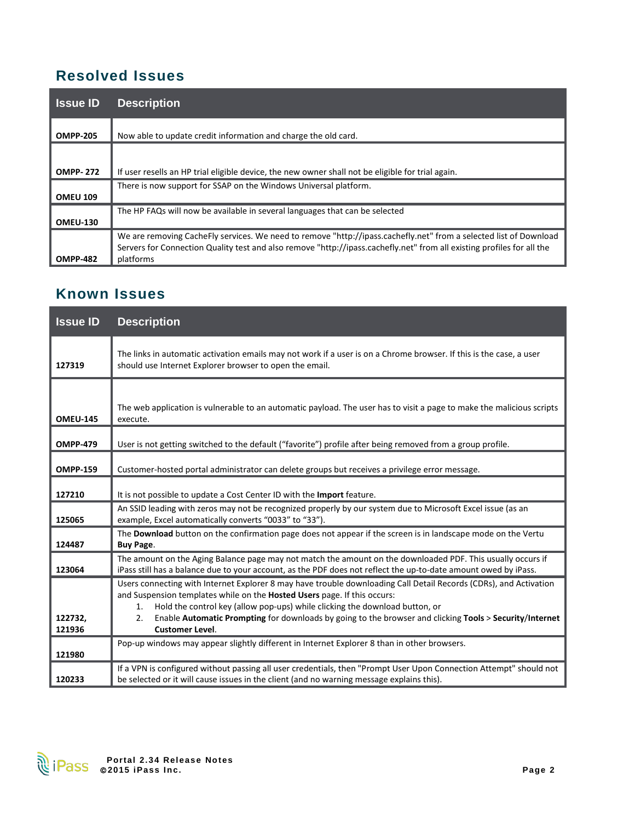## **Resolved Issues**

| <b>Issue ID</b> | <b>Description</b>                                                                                                                                                                                                                                       |
|-----------------|----------------------------------------------------------------------------------------------------------------------------------------------------------------------------------------------------------------------------------------------------------|
| <b>OMPP-205</b> | Now able to update credit information and charge the old card.                                                                                                                                                                                           |
| <b>OMPP-272</b> | If user resells an HP trial eligible device, the new owner shall not be eligible for trial again.                                                                                                                                                        |
| <b>OMEU 109</b> | There is now support for SSAP on the Windows Universal platform.                                                                                                                                                                                         |
| <b>OMEU-130</b> | The HP FAQs will now be available in several languages that can be selected                                                                                                                                                                              |
| <b>OMPP-482</b> | We are removing CacheFly services. We need to remove "http://ipass.cachefly.net" from a selected list of Download<br>Servers for Connection Quality test and also remove "http://ipass.cachefly.net" from all existing profiles for all the<br>platforms |

### **Known Issues**

| <b>Issue ID</b>   | <b>Description</b>                                                                                                                                                                                                                                                                                                                                                                                                            |
|-------------------|-------------------------------------------------------------------------------------------------------------------------------------------------------------------------------------------------------------------------------------------------------------------------------------------------------------------------------------------------------------------------------------------------------------------------------|
| 127319            | The links in automatic activation emails may not work if a user is on a Chrome browser. If this is the case, a user<br>should use Internet Explorer browser to open the email.                                                                                                                                                                                                                                                |
| <b>OMEU-145</b>   | The web application is vulnerable to an automatic payload. The user has to visit a page to make the malicious scripts<br>execute.                                                                                                                                                                                                                                                                                             |
| <b>OMPP-479</b>   | User is not getting switched to the default ("favorite") profile after being removed from a group profile.                                                                                                                                                                                                                                                                                                                    |
| <b>OMPP-159</b>   | Customer-hosted portal administrator can delete groups but receives a privilege error message.                                                                                                                                                                                                                                                                                                                                |
| 127210            | It is not possible to update a Cost Center ID with the Import feature.                                                                                                                                                                                                                                                                                                                                                        |
| 125065            | An SSID leading with zeros may not be recognized properly by our system due to Microsoft Excel issue (as an<br>example, Excel automatically converts "0033" to "33").                                                                                                                                                                                                                                                         |
| 124487            | The Download button on the confirmation page does not appear if the screen is in landscape mode on the Vertu<br><b>Buy Page.</b>                                                                                                                                                                                                                                                                                              |
| 123064            | The amount on the Aging Balance page may not match the amount on the downloaded PDF. This usually occurs if<br>iPass still has a balance due to your account, as the PDF does not reflect the up-to-date amount owed by iPass.                                                                                                                                                                                                |
| 122732,<br>121936 | Users connecting with Internet Explorer 8 may have trouble downloading Call Detail Records (CDRs), and Activation<br>and Suspension templates while on the Hosted Users page. If this occurs:<br>Hold the control key (allow pop-ups) while clicking the download button, or<br>1.<br>Enable Automatic Prompting for downloads by going to the browser and clicking Tools > Security/Internet<br>2.<br><b>Customer Level.</b> |
| 121980            | Pop-up windows may appear slightly different in Internet Explorer 8 than in other browsers.                                                                                                                                                                                                                                                                                                                                   |
| 120233            | If a VPN is configured without passing all user credentials, then "Prompt User Upon Connection Attempt" should not<br>be selected or it will cause issues in the client (and no warning message explains this).                                                                                                                                                                                                               |

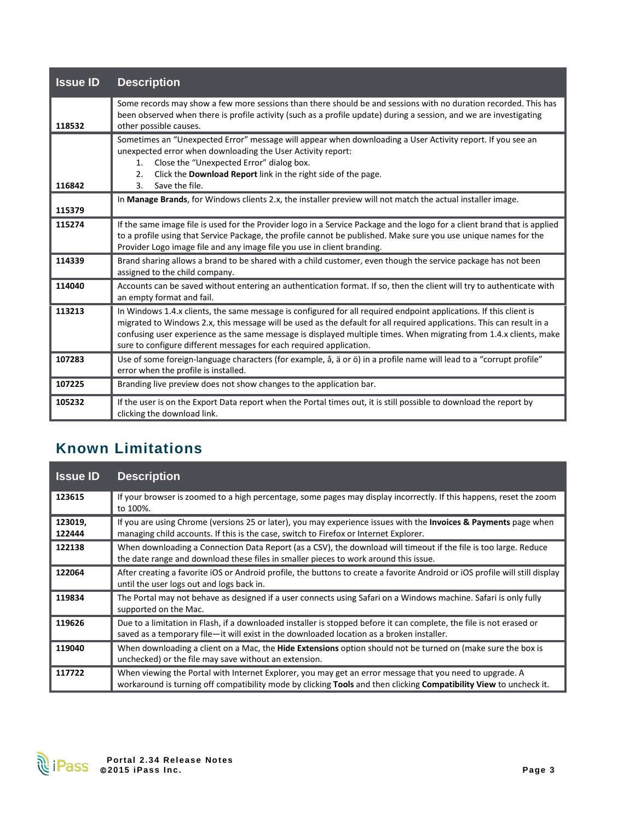| <b>Issue ID</b> | <b>Description</b>                                                                                                                                                                                                                                                                                                                                                                                                                       |
|-----------------|------------------------------------------------------------------------------------------------------------------------------------------------------------------------------------------------------------------------------------------------------------------------------------------------------------------------------------------------------------------------------------------------------------------------------------------|
| 118532          | Some records may show a few more sessions than there should be and sessions with no duration recorded. This has<br>been observed when there is profile activity (such as a profile update) during a session, and we are investigating<br>other possible causes.                                                                                                                                                                          |
| 116842          | Sometimes an "Unexpected Error" message will appear when downloading a User Activity report. If you see an<br>unexpected error when downloading the User Activity report:<br>Close the "Unexpected Error" dialog box.<br>1.<br>Click the Download Report link in the right side of the page.<br>2.<br>Save the file.<br>$\mathbf{3}$ .                                                                                                   |
| 115379          | In Manage Brands, for Windows clients 2.x, the installer preview will not match the actual installer image.                                                                                                                                                                                                                                                                                                                              |
| 115274          | If the same image file is used for the Provider logo in a Service Package and the logo for a client brand that is applied<br>to a profile using that Service Package, the profile cannot be published. Make sure you use unique names for the<br>Provider Logo image file and any image file you use in client branding.                                                                                                                 |
| 114339          | Brand sharing allows a brand to be shared with a child customer, even though the service package has not been<br>assigned to the child company.                                                                                                                                                                                                                                                                                          |
| 114040          | Accounts can be saved without entering an authentication format. If so, then the client will try to authenticate with<br>an empty format and fail.                                                                                                                                                                                                                                                                                       |
| 113213          | In Windows 1.4.x clients, the same message is configured for all required endpoint applications. If this client is<br>migrated to Windows 2.x, this message will be used as the default for all required applications. This can result in a<br>confusing user experience as the same message is displayed multiple times. When migrating from 1.4.x clients, make<br>sure to configure different messages for each required application. |
| 107283          | Use of some foreign-language characters (for example, å, ä or ö) in a profile name will lead to a "corrupt profile"<br>error when the profile is installed.                                                                                                                                                                                                                                                                              |
| 107225          | Branding live preview does not show changes to the application bar.                                                                                                                                                                                                                                                                                                                                                                      |
| 105232          | If the user is on the Export Data report when the Portal times out, it is still possible to download the report by<br>clicking the download link.                                                                                                                                                                                                                                                                                        |

# **Known Limitations**

| <b>Issue ID</b>   | <b>Description</b>                                                                                                                                                                                                             |
|-------------------|--------------------------------------------------------------------------------------------------------------------------------------------------------------------------------------------------------------------------------|
| 123615            | If your browser is zoomed to a high percentage, some pages may display incorrectly. If this happens, reset the zoom<br>to 100%.                                                                                                |
| 123019,<br>122444 | If you are using Chrome (versions 25 or later), you may experience issues with the Invoices & Payments page when<br>managing child accounts. If this is the case, switch to Firefox or Internet Explorer.                      |
| 122138            | When downloading a Connection Data Report (as a CSV), the download will timeout if the file is too large. Reduce<br>the date range and download these files in smaller pieces to work around this issue.                       |
| 122064            | After creating a favorite iOS or Android profile, the buttons to create a favorite Android or iOS profile will still display<br>until the user logs out and logs back in.                                                      |
| 119834            | The Portal may not behave as designed if a user connects using Safari on a Windows machine. Safari is only fully<br>supported on the Mac.                                                                                      |
| 119626            | Due to a limitation in Flash, if a downloaded installer is stopped before it can complete, the file is not erased or<br>saved as a temporary file-it will exist in the downloaded location as a broken installer.              |
| 119040            | When downloading a client on a Mac, the <b>Hide Extensions</b> option should not be turned on (make sure the box is<br>unchecked) or the file may save without an extension.                                                   |
| 117722            | When viewing the Portal with Internet Explorer, you may get an error message that you need to upgrade. A<br>workaround is turning off compatibility mode by clicking Tools and then clicking Compatibility View to uncheck it. |